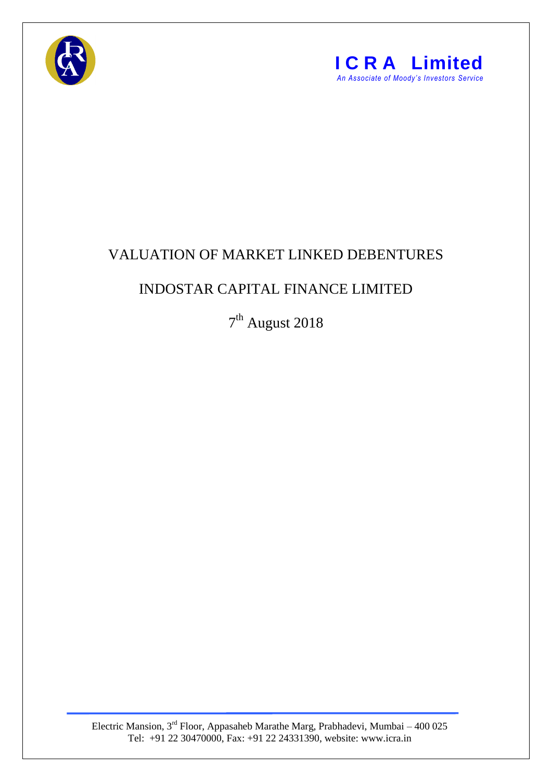



## VALUATION OF MARKET LINKED DEBENTURES

## INDOSTAR CAPITAL FINANCE LIMITED

7<sup>th</sup> August 2018

Electric Mansion, 3<sup>rd</sup> Floor, Appasaheb Marathe Marg, Prabhadevi, Mumbai – 400 025 Tel: +91 22 30470000, Fax: +91 22 24331390, website: www.icra.in